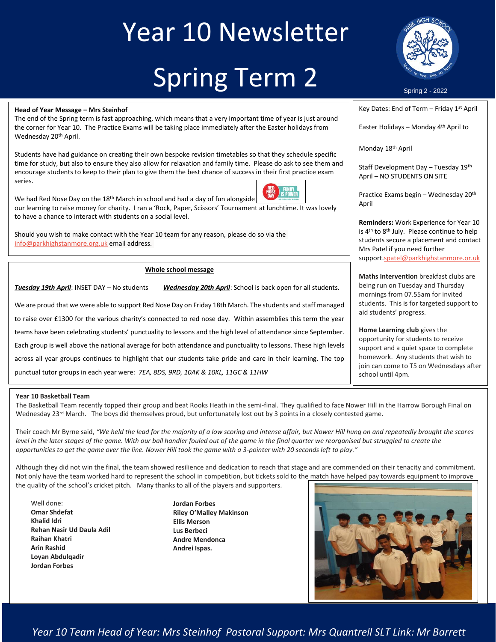# Year 10 Newsletter Spring Term 2



Spring 2 - 2022

**Head of Year Message – Mrs Steinhof**

The end of the Spring term is fast approaching, which means that a very important time of year is just around the corner for Year 10. The Practice Exams will be taking place immediately after the Easter holidays from Wednesday 20<sup>th</sup> April.

Students have had guidance on creating their own bespoke revision timetables so that they schedule specific  $\frac{1}{5}$ Students have had guidance on creating their own bespoke revision timetables so that they schedule specific encourage students to keep to their plan to give them the best chance of success in their first practice exam series.



We had Red Nose Day on the  $18<sup>th</sup>$  March in school and had a day of fun alongside our learning to raise money for charity. I ran a 'Rock, Paper, Scissors' Tournament at lunchtime. It was lovely to have a chance to interact with students on a social level.

Should you wish to make contact with the Year 10 team for any reason, please do so via the [info@parkhighstanmore.org.uk](mailto:info@parkhighstanmore.org.uk) email address.

#### **Whole school message**

*Tuesday 19th April*: INSET DAY – No students *Wednesday 20th April*: School is back open for all students.

We are proud that we were able to support Red Nose Day on Friday 18th March. The students and staff managed to raise over £1300 for the various charity's connected to red nose day. Within assemblies this term the year teams have been celebrating students' punctuality to lessons and the high level of attendance since September. Each group is well above the national average for both attendance and punctuality to lessons. These high levels across all year groups continues to highlight that our students take pride and care in their learning. The top punctual tutor groups in each year were: *7EA, 8DS, 9RD, 10AK & 10KL, 11GC & 11HW*

### Key Dates: End of Term – Friday 1st April

Easter Holidays - Monday 4<sup>th</sup> April to

Monday 18th April

Staff Development Day – Tuesday 19th April – NO STUDENTS ON SITE

Practice Exams begin – Wednesday 20th April

**Reminders:** Work Experience for Year 10 is 4<sup>th</sup> to 8<sup>th</sup> July. Please continue to help students secure a placement and contact Mrs Patel if you need further support[.spatel@parkhighstanmore.or.uk](mailto:spatel@parkhighstanmore.or.uk)

**Maths Intervention** breakfast clubs are being run on Tuesday and Thursday mornings from 07.55am for invited students. This is for targeted support to aid students' progress.

**Home Learning club** gives the opportunity for students to receive support and a quiet space to complete homework. Any students that wish to join can come to T5 on Wednesdays after school until 4pm.

#### **Year 10 Basketball Team**

The Basketball Team recently topped their group and beat Rooks Heath in the semi-final. They qualified to face Nower Hill in the Harrow Borough Final on Wednesday 23<sup>rd</sup> March. The boys did themselves proud, but unfortunately lost out by 3 points in a closely contested game.

Their coach Mr Byrne said, *"We held the lead for the majority of a low scoring and intense affair, but Nower Hill hung on and repeatedly brought the scores*  level in the later stages of the game. With our ball handler fouled out of the game in the final quarter we reorganised but struggled to create the *opportunities to get the game over the line. Nower Hill took the game with a 3-pointer with 20 seconds left to play."*

Although they did not win the final, the team showed resilience and dedication to reach that stage and are commended on their tenacity and commitment. Not only have the team worked hard to represent the school in competition, but tickets sold to the match have helped pay towards equipment to improve the quality of the school's cricket pitch. Many thanks to all of the players and supporters.

- Well done: **Omar Shdefat Khalid Idri Rehan Nasir Ud Daula Adil Raihan Khatri Arin Rashid Loyan Abdulqadir Jordan Forbes**
- **Jordan Forbes Riley O'Malley Makinson Ellis Merson Lus Berbeci Andre Mendonca Andrei Ispas.**



*Year 10 Team Head of Year: Mrs Steinhof Pastoral Support: Mrs Quantrell SLT Link: Mr Barrett*